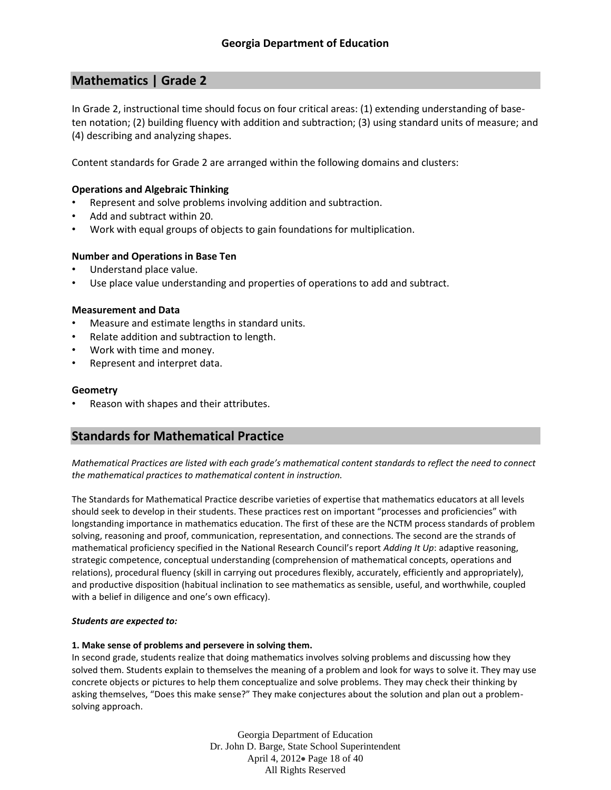# **Mathematics | Grade 2**

In Grade 2, instructional time should focus on four critical areas: (1) extending understanding of baseten notation; (2) building fluency with addition and subtraction; (3) using standard units of measure; and (4) describing and analyzing shapes.

Content standards for Grade 2 are arranged within the following domains and clusters:

## **Operations and Algebraic Thinking**

- Represent and solve problems involving addition and subtraction.
- Add and subtract within 20.
- Work with equal groups of objects to gain foundations for multiplication.

### **Number and Operations in Base Ten**

- Understand place value.
- Use place value understanding and properties of operations to add and subtract.

### **Measurement and Data**

- Measure and estimate lengths in standard units.
- Relate addition and subtraction to length.
- Work with time and money.
- Represent and interpret data.

### **Geometry**

• Reason with shapes and their attributes.

# **Standards for Mathematical Practice**

*Mathematical Practices are listed with each grade's mathematical content standards to reflect the need to connect the mathematical practices to mathematical content in instruction.*

The Standards for Mathematical Practice describe varieties of expertise that mathematics educators at all levels should seek to develop in their students. These practices rest on important "processes and proficiencies" with longstanding importance in mathematics education. The first of these are the NCTM process standards of problem solving, reasoning and proof, communication, representation, and connections. The second are the strands of mathematical proficiency specified in the National Research Council's report *Adding It Up*: adaptive reasoning, strategic competence, conceptual understanding (comprehension of mathematical concepts, operations and relations), procedural fluency (skill in carrying out procedures flexibly, accurately, efficiently and appropriately), and productive disposition (habitual inclination to see mathematics as sensible, useful, and worthwhile, coupled with a belief in diligence and one's own efficacy).

#### *Students are expected to:*

#### **1. Make sense of problems and persevere in solving them.**

In second grade, students realize that doing mathematics involves solving problems and discussing how they solved them. Students explain to themselves the meaning of a problem and look for ways to solve it. They may use concrete objects or pictures to help them conceptualize and solve problems. They may check their thinking by asking themselves, "Does this make sense?" They make conjectures about the solution and plan out a problemsolving approach.

> Georgia Department of Education Dr. John D. Barge, State School Superintendent April 4, 2012 Page 18 of 40 All Rights Reserved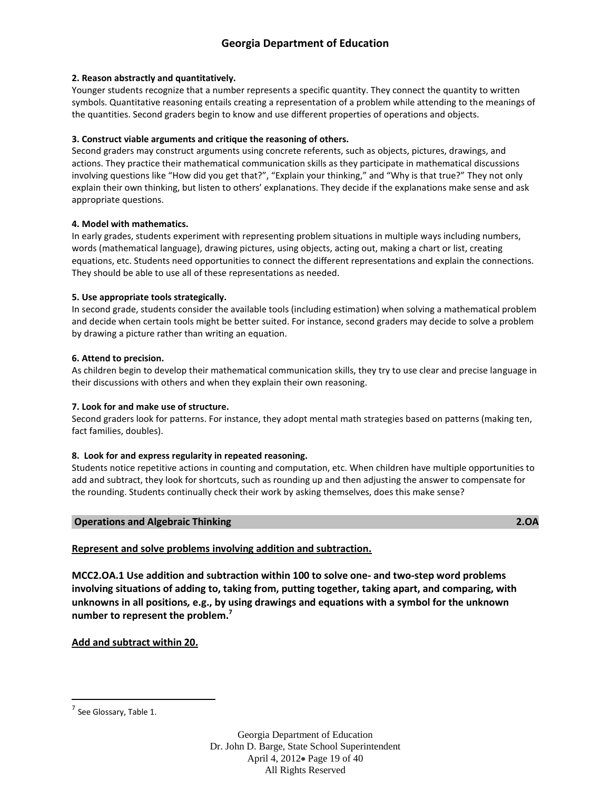## **2. Reason abstractly and quantitatively.**

Younger students recognize that a number represents a specific quantity. They connect the quantity to written symbols. Quantitative reasoning entails creating a representation of a problem while attending to the meanings of the quantities. Second graders begin to know and use different properties of operations and objects.

## **3. Construct viable arguments and critique the reasoning of others.**

Second graders may construct arguments using concrete referents, such as objects, pictures, drawings, and actions. They practice their mathematical communication skills as they participate in mathematical discussions involving questions like "How did you get that?", "Explain your thinking," and "Why is that true?" They not only explain their own thinking, but listen to others' explanations. They decide if the explanations make sense and ask appropriate questions.

### **4. Model with mathematics.**

In early grades, students experiment with representing problem situations in multiple ways including numbers, words (mathematical language), drawing pictures, using objects, acting out, making a chart or list, creating equations, etc. Students need opportunities to connect the different representations and explain the connections. They should be able to use all of these representations as needed.

## **5. Use appropriate tools strategically.**

In second grade, students consider the available tools (including estimation) when solving a mathematical problem and decide when certain tools might be better suited. For instance, second graders may decide to solve a problem by drawing a picture rather than writing an equation.

## **6. Attend to precision.**

As children begin to develop their mathematical communication skills, they try to use clear and precise language in their discussions with others and when they explain their own reasoning.

## **7. Look for and make use of structure.**

Second graders look for patterns. For instance, they adopt mental math strategies based on patterns (making ten, fact families, doubles).

### **8. Look for and express regularity in repeated reasoning.**

Students notice repetitive actions in counting and computation, etc. When children have multiple opportunities to add and subtract, they look for shortcuts, such as rounding up and then adjusting the answer to compensate for the rounding. Students continually check their work by asking themselves, does this make sense?

### **Operations and Algebraic Thinking 2.OA**

## **Represent and solve problems involving addition and subtraction.**

**MCC2.OA.1 Use addition and subtraction within 100 to solve one- and two-step word problems involving situations of adding to, taking from, putting together, taking apart, and comparing, with unknowns in all positions***,* **e.g., by using drawings and equations with a symbol for the unknown number to represent the problem.<sup>7</sup>**

## **Add and subtract within 20.**

 $\overline{\phantom{a}}$ 

Georgia Department of Education Dr. John D. Barge, State School Superintendent April 4, 2012 Page 19 of 40 All Rights Reserved

<sup>&</sup>lt;sup>7</sup> See Glossary, Table 1.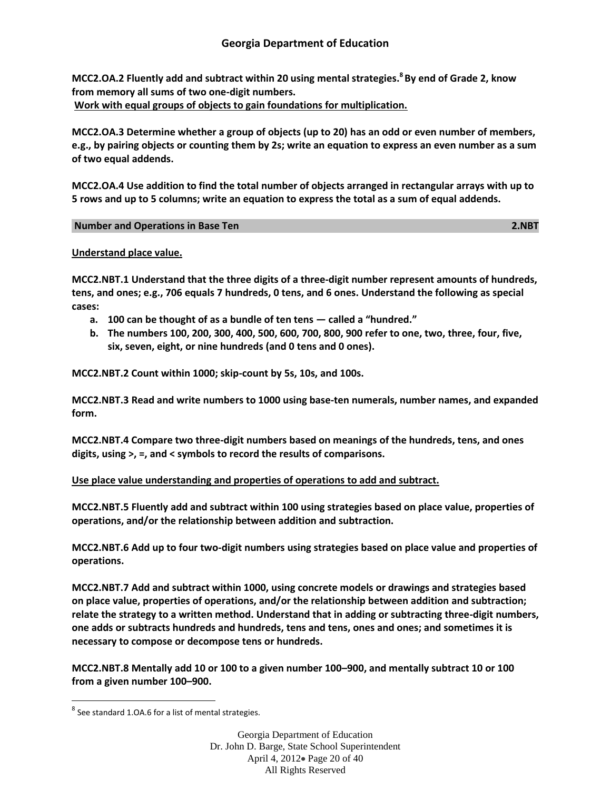**MCC2.OA.2 Fluently add and subtract within 20 using mental strategies.<sup>8</sup> By end of Grade 2, know from memory all sums of two one-digit numbers. Work with equal groups of objects to gain foundations for multiplication.**

**MCC2.OA.3 Determine whether a group of objects (up to 20) has an odd or even number of members, e.g., by pairing objects or counting them by 2s; write an equation to express an even number as a sum of two equal addends.**

**MCC2.OA.4 Use addition to find the total number of objects arranged in rectangular arrays with up to 5 rows and up to 5 columns; write an equation to express the total as a sum of equal addends.**

# **Number and Operations in Base Ten 2.NBT**

## **Understand place value.**

**MCC2.NBT.1 Understand that the three digits of a three-digit number represent amounts of hundreds, tens, and ones; e.g., 706 equals 7 hundreds, 0 tens, and 6 ones. Understand the following as special cases:**

- **a. 100 can be thought of as a bundle of ten tens — called a "hundred."**
- **b. The numbers 100, 200, 300, 400, 500, 600, 700, 800, 900 refer to one, two, three, four, five, six, seven, eight, or nine hundreds (and 0 tens and 0 ones).**

**MCC2.NBT.2 Count within 1000; skip-count by 5s, 10s, and 100s.**

**MCC2.NBT.3 Read and write numbers to 1000 using base-ten numerals, number names, and expanded form.**

**MCC2.NBT.4 Compare two three-digit numbers based on meanings of the hundreds, tens, and ones digits, using >, =, and < symbols to record the results of comparisons.**

## **Use place value understanding and properties of operations to add and subtract.**

**MCC2.NBT.5 Fluently add and subtract within 100 using strategies based on place value, properties of operations, and/or the relationship between addition and subtraction.**

**MCC2.NBT.6 Add up to four two-digit numbers using strategies based on place value and properties of operations.**

**MCC2.NBT.7 Add and subtract within 1000, using concrete models or drawings and strategies based on place value, properties of operations, and/or the relationship between addition and subtraction; relate the strategy to a written method. Understand that in adding or subtracting three-digit numbers, one adds or subtracts hundreds and hundreds, tens and tens, ones and ones; and sometimes it is necessary to compose or decompose tens or hundreds.**

**MCC2.NBT.8 Mentally add 10 or 100 to a given number 100–900, and mentally subtract 10 or 100 from a given number 100–900.**

 $\overline{\phantom{a}}$ 

Georgia Department of Education Dr. John D. Barge, State School Superintendent April 4, 2012 Page 20 of 40 All Rights Reserved

 $^8$  See standard 1.0A.6 for a list of mental strategies.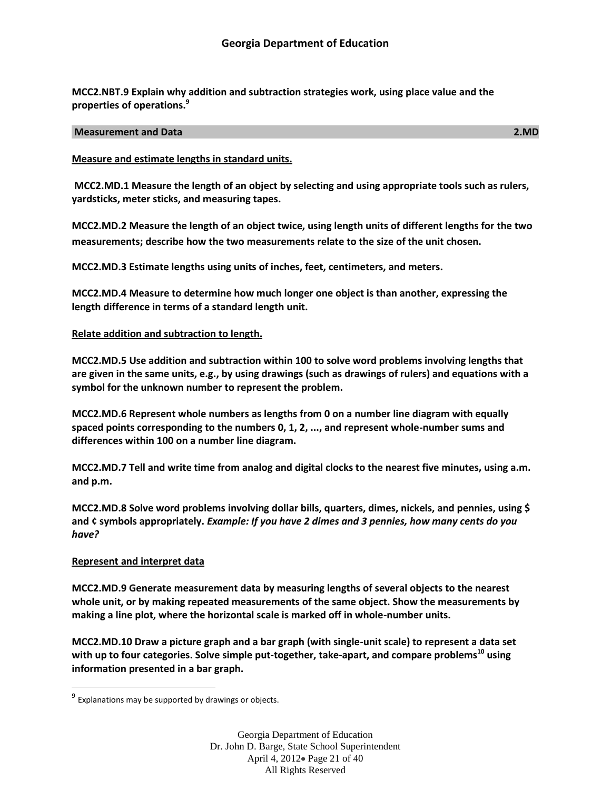**MCC2.NBT.9 Explain why addition and subtraction strategies work, using place value and the properties of operations.<sup>9</sup>**

#### **Measurement and Data 2.MD**

### **Measure and estimate lengths in standard units.**

**MCC2.MD.1 Measure the length of an object by selecting and using appropriate tools such as rulers, yardsticks, meter sticks, and measuring tapes.**

**MCC2.MD.2 Measure the length of an object twice, using length units of different lengths for the two measurements; describe how the two measurements relate to the size of the unit chosen.** 

**MCC2.MD.3 Estimate lengths using units of inches, feet, centimeters, and meters.** 

**MCC2.MD.4 Measure to determine how much longer one object is than another, expressing the length difference in terms of a standard length unit.**

## **Relate addition and subtraction to length.**

**MCC2.MD.5 Use addition and subtraction within 100 to solve word problems involving lengths that are given in the same units, e.g., by using drawings (such as drawings of rulers) and equations with a symbol for the unknown number to represent the problem.**

**MCC2.MD.6 Represent whole numbers as lengths from 0 on a number line diagram with equally spaced points corresponding to the numbers 0, 1, 2, ..., and represent whole-number sums and differences within 100 on a number line diagram.**

**MCC2.MD.7 Tell and write time from analog and digital clocks to the nearest five minutes, using a.m. and p.m.**

**MCC2.MD.8 Solve word problems involving dollar bills, quarters, dimes, nickels, and pennies, using \$ and ¢ symbols appropriately.** *Example: If you have 2 dimes and 3 pennies, how many cents do you have?*

### **Represent and interpret data**

 $\overline{\phantom{a}}$ 

**MCC2.MD.9 Generate measurement data by measuring lengths of several objects to the nearest whole unit, or by making repeated measurements of the same object. Show the measurements by making a line plot, where the horizontal scale is marked off in whole-number units.**

**MCC2.MD.10 Draw a picture graph and a bar graph (with single-unit scale) to represent a data set with up to four categories. Solve simple put-together, take-apart, and compare problems<sup>10</sup> using information presented in a bar graph.**

 $9$  Explanations may be supported by drawings or objects.